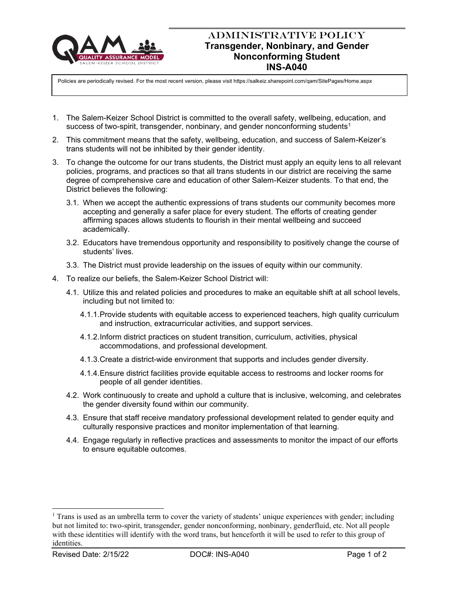

## ADMINISTRATIVE POLICY **Transgender, Nonbinary, and Gender Nonconforming Student INS-A040**

Policies are periodically revised. For the most recent version, please visit https://salkeiz.sharepoint.com/qam/SitePages/Home.aspx

- 1. The Salem-Keizer School District is committed to the overall safety, wellbeing, education, and success of two-spirit, transgender, nonbinary, and gender nonconforming students<sup>1</sup>
- 2. This commitment means that the safety, wellbeing, education, and success of Salem-Keizer's trans students will not be inhibited by their gender identity.
- 3. To change the outcome for our trans students, the District must apply an equity lens to all relevant policies, programs, and practices so that all trans students in our district are receiving the same degree of comprehensive care and education of other Salem-Keizer students. To that end, the District believes the following:
	- 3.1. When we accept the authentic expressions of trans students our community becomes more accepting and generally a safer place for every student. The efforts of creating gender affirming spaces allows students to flourish in their mental wellbeing and succeed academically.
	- 3.2. Educators have tremendous opportunity and responsibility to positively change the course of students' lives.
	- 3.3. The District must provide leadership on the issues of equity within our community.
- 4. To realize our beliefs, the Salem-Keizer School District will:
	- 4.1. Utilize this and related policies and procedures to make an equitable shift at all school levels, including but not limited to:
		- 4.1.1.Provide students with equitable access to experienced teachers, high quality curriculum and instruction, extracurricular activities, and support services.
		- 4.1.2.Inform district practices on student transition, curriculum, activities, physical accommodations, and professional development.
		- 4.1.3.Create a district-wide environment that supports and includes gender diversity.
		- 4.1.4.Ensure district facilities provide equitable access to restrooms and locker rooms for people of all gender identities.
	- 4.2. Work continuously to create and uphold a culture that is inclusive, welcoming, and celebrates the gender diversity found within our community.
	- 4.3. Ensure that staff receive mandatory professional development related to gender equity and culturally responsive practices and monitor implementation of that learning.
	- 4.4. Engage regularly in reflective practices and assessments to monitor the impact of our efforts to ensure equitable outcomes.

<sup>&</sup>lt;sup>1</sup> Trans is used as an umbrella term to cover the variety of students' unique experiences with gender; including but not limited to: two-spirit, transgender, gender nonconforming, nonbinary, genderfluid, etc. Not all people with these identities will identify with the word trans, but henceforth it will be used to refer to this group of identities.